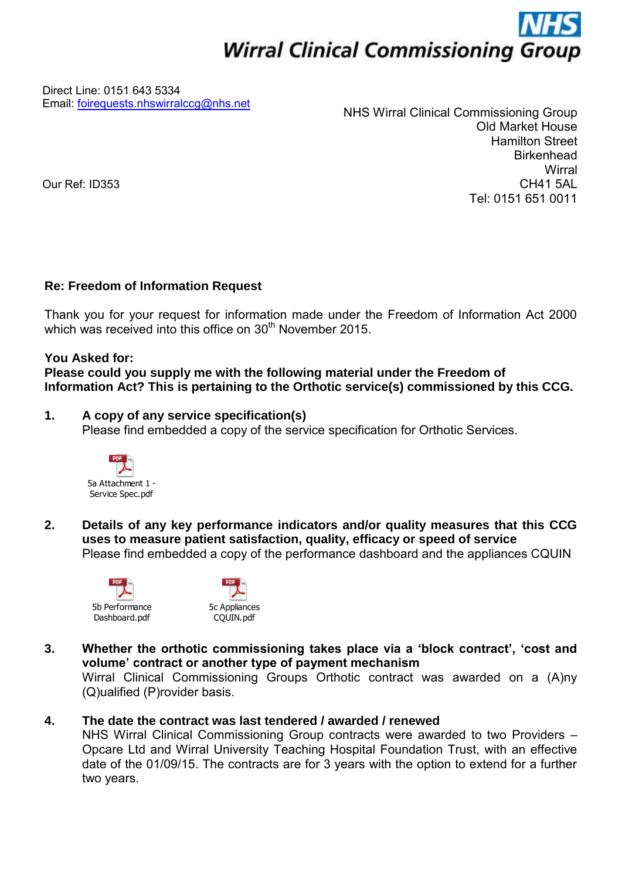# **Wirral Clinical Commissioning Group**

Direct Line: 0151 643 5334 Email: [foirequests.nhswirralccg@nhs.net](mailto:foirequests.nhswirralccg@nhs.net) 

NHS Wirral Clinical Commissioning Group Old Market House Hamilton Street **Birkenhead Wirral** CH41 5AL Tel: 0151 651 0011

Our Ref: ID353

### **Re: Freedom of Information Request**

Thank you for your request for information made under the Freedom of Information Act 2000 which was received into this office on 30<sup>th</sup> November 2015.

#### **You Asked for:**

**Please could you supply me with the following material under the Freedom of Information Act? This is pertaining to the Orthotic service(s) commissioned by this CCG.** 

### **1. A copy of any service specification(s)**

Please find embedded a copy of the service specification for Orthotic Services.



**2. Details of any key performance indicators and/or quality measures that this CCG uses to measure patient satisfaction, quality, efficacy or speed of service**  Please find embedded a copy of the performance dashboard and the appliances CQUIN





**3. Whether the orthotic commissioning takes place via a 'block contract', 'cost and volume' contract or another type of payment mechanism**

Wirral Clinical Commissioning Groups Orthotic contract was awarded on a (A)ny (Q)ualified (P)rovider basis.

## **4. The date the contract was last tendered / awarded / renewed**

NHS Wirral Clinical Commissioning Group contracts were awarded to two Providers – Opcare Ltd and Wirral University Teaching Hospital Foundation Trust, with an effective date of the 01/09/15. The contracts are for 3 years with the option to extend for a further two years.